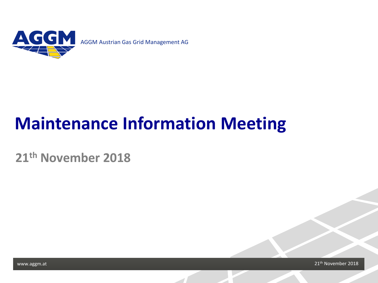

# **Maintenance Information Meeting**

**21th November 2018**

Page 1 1 | Movember 2018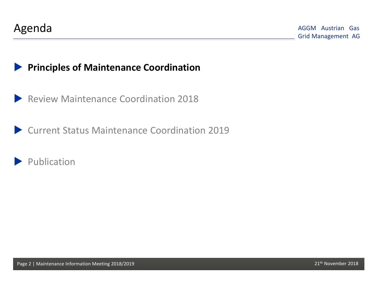## **Principles of Maintenance Coordination**

Review Maintenance Coordination 2018

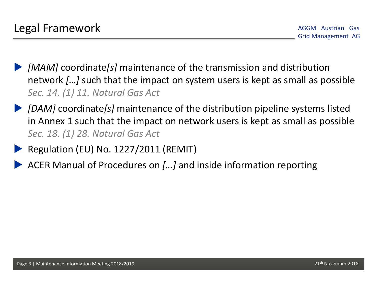- *[MAM]* coordinate*[s]* maintenance of the transmission and distribution network *[…]* such that the impact on system users is kept as small as possible *Sec. 14. (1) 11. Natural Gas Act*
- *[DAM]* coordinate*[s]* maintenance of the distribution pipeline systems listed in Annex 1 such that the impact on network users is kept as small as possible *Sec. 18. (1) 28. Natural Gas Act*
	- Regulation (EU) No. 1227/2011 (REMIT)
- ACER Manual of Procedures on *[…]* and inside information reporting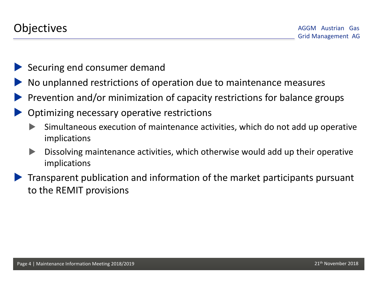- Securing end consumer demand
- No unplanned restrictions of operation due to maintenance measures
- Prevention and/or minimization of capacity restrictions for balance groups
- Optimizing necessary operative restrictions
	- Simultaneous execution of maintenance activities, which do not add up operative implications
	- **Dissolving maintenance activities, which otherwise would add up their operative** implications
- Transparent publication and information of the market participants pursuant to the REMIT provisions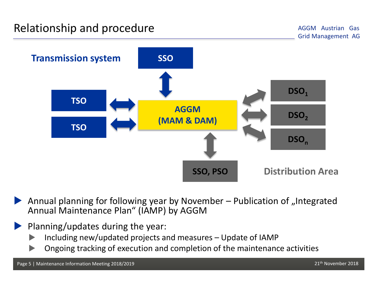

Annual planning for following year by November  $-$  Publication of "Integrated Annual Maintenance Plan" (IAMP) by AGGM

### Planning/updates during the year:

- Including new/updated projects and measures Update of IAMP
- Ongoing tracking of execution and completion of the maintenance activities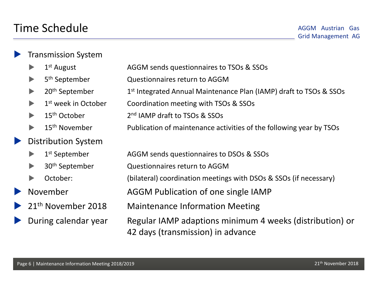#### Transmission System

- 
- 
- 
- 
- 
- 
- Distribution System
	-
	-
	-
- 
- 
- 
- $\blacktriangleright$  1<sup>st</sup> August 2.5 AGGM sends questionnaires to TSOs & SSOs
	- 5<sup>th</sup> September Questionnaires return to AGGM
	- 20<sup>th</sup> September 1<sup>st</sup> Integrated Annual Maintenance Plan (IAMP) draft to TSOs & SSOs
	- 1<sup>st</sup> week in October Coordination meeting with TSOs & SSOs
	- 15<sup>th</sup> October 2<sup>nd</sup> IAMP draft to TSOs & SSOs
	- 15<sup>th</sup> November Publication of maintenance activities of the following year by TSOs
- **1st September AGGM sends questionnaires to DSOs & SSOs** 
	- 30th September Questionnaires return to AGGM
	- October: (bilateral) coordination meetings with DSOs & SSOs (if necessary)
- November **AGGM Publication of one single IAMP**
- 21<sup>th</sup> November 2018 Maintenance Information Meeting
- During calendar year Regular IAMP adaptions minimum 4 weeks (distribution) or 42 days (transmission) in advance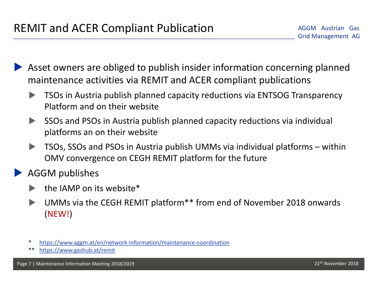- Asset owners are obliged to publish insider information concerning planned maintenance activities via REMIT and ACER compliant publications
	- TSOs in Austria publish planned capacity reductions via ENTSOG Transparency Platform and on their website
	- SSOs and PSOs in Austria publish planned capacity reductions via individual platforms an on their website
	- TSOs, SSOs and PSOs in Austria publish UMMs via individual platforms within OMV convergence on CEGH REMIT platform for the future
- AGGM publishes
	- $\blacktriangleright$  the IAMP on its website\*
	- UMMs via the CEGH REMIT platform\*\* from end of November 2018 onwards (NEW!)
	- <https://www.aggm.at/en/network-information/maintenance-coordination>
	- \*\* <https://www.gashub.at/remit>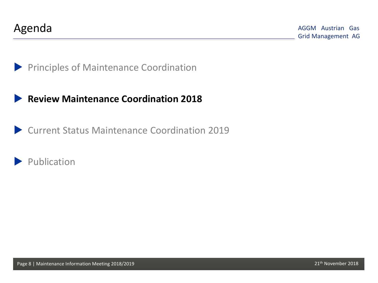

### **Review Maintenance Coordination 2018**

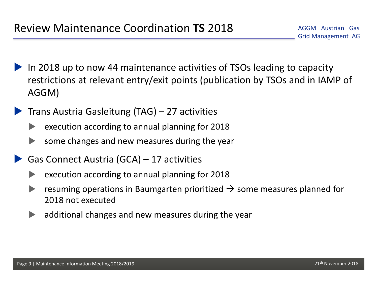- In 2018 up to now 44 maintenance activities of TSOs leading to capacity restrictions at relevant entry/exit points (publication by TSOs and in IAMP of AGGM)
- Trans Austria Gasleitung (TAG) 27 activities
	- $\blacktriangleright$  execution according to annual planning for 2018
	- some changes and new measures during the year
- Gas Connect Austria (GCA) 17 activities
	- execution according to annual planning for 2018
	- resuming operations in Baumgarten prioritized  $\rightarrow$  some measures planned for 2018 not executed
	- additional changes and new measures during the year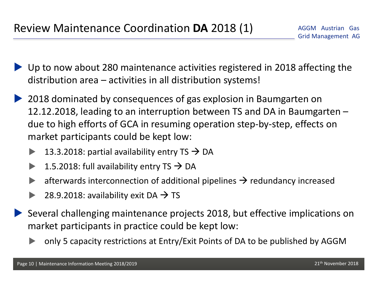- Up to now about 280 maintenance activities registered in 2018 affecting the distribution area – activities in all distribution systems!
- ▶ 2018 dominated by consequences of gas explosion in Baumgarten on 12.12.2018, leading to an interruption between TS and DA in Baumgarten – due to high efforts of GCA in resuming operation step-by-step, effects on market participants could be kept low:
	- 13.3.2018: partial availability entry  $TS \rightarrow DA$
	- 1.5.2018: full availability entry  $TS \rightarrow DA$
	- afterwards interconnection of additional pipelines  $\rightarrow$  redundancy increased
	- 28.9.2018: availability exit DA  $\rightarrow$  TS
- Several challenging maintenance projects 2018, but effective implications on market participants in practice could be kept low:
	- only 5 capacity restrictions at Entry/Exit Points of DA to be published by AGGM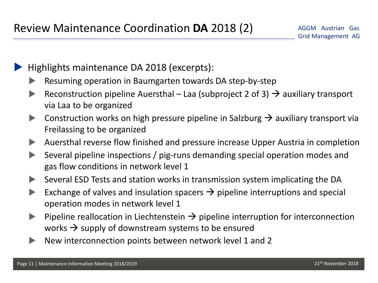Highlights maintenance DA 2018 (excerpts):

- Resuming operation in Baumgarten towards DA step-by-step
- Reconstruction pipeline Auersthal Laa (subproject 2 of 3)  $\rightarrow$  auxiliary transport via Laa to be organized
- Construction works on high pressure pipeline in Salzburg  $\rightarrow$  auxiliary transport via Freilassing to be organized
- Auersthal reverse flow finished and pressure increase Upper Austria in completion
- Several pipeline inspections / pig-runs demanding special operation modes and gas flow conditions in network level 1
- Several ESD Tests and station works in transmission system implicating the DA
- Exchange of valves and insulation spacers  $\rightarrow$  pipeline interruptions and special operation modes in network level 1
- Pipeline reallocation in Liechtenstein  $\rightarrow$  pipeline interruption for interconnection works  $\rightarrow$  supply of downstream systems to be ensured
- New interconnection points between network level 1 and 2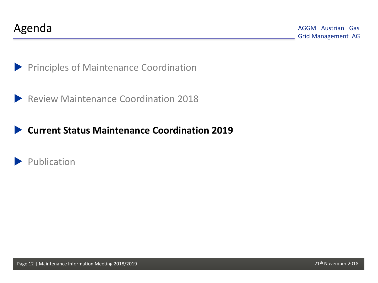

**Principles of Maintenance Coordination** 



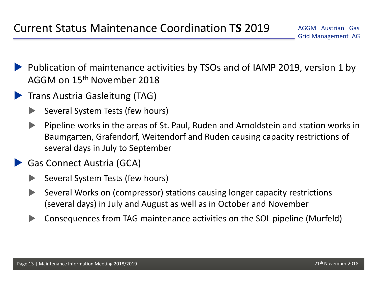- Publication of maintenance activities by TSOs and of IAMP 2019, version 1 by AGGM on 15th November 2018
- **Trans Austria Gasleitung (TAG)** 
	- Several System Tests (few hours)
	- Pipeline works in the areas of St. Paul, Ruden and Arnoldstein and station works in Baumgarten, Grafendorf, Weitendorf and Ruden causing capacity restrictions of several days in July to September
	- Gas Connect Austria (GCA)
		- Several System Tests (few hours)
		- Several Works on (compressor) stations causing longer capacity restrictions (several days) in July and August as well as in October and November
		- Consequences from TAG maintenance activities on the SOL pipeline (Murfeld)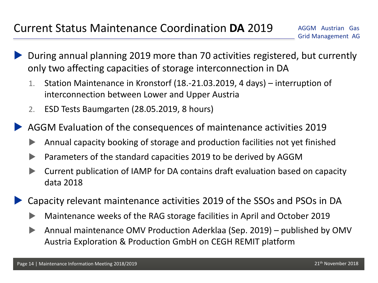- During annual planning 2019 more than 70 activities registered, but currently only two affecting capacities of storage interconnection in DA
	- 1. Station Maintenance in Kronstorf (18.-21.03.2019, 4 days) interruption of interconnection between Lower and Upper Austria
	- 2. ESD Tests Baumgarten (28.05.2019, 8 hours)

AGGM Evaluation of the consequences of maintenance activities 2019

- Annual capacity booking of storage and production facilities not yet finished
- Parameters of the standard capacities 2019 to be derived by AGGM
- Current publication of IAMP for DA contains draft evaluation based on capacity data 2018
- Capacity relevant maintenance activities 2019 of the SSOs and PSOs in DA
	- Maintenance weeks of the RAG storage facilities in April and October 2019
	- Annual maintenance OMV Production Aderklaa (Sep. 2019) published by OMV Austria Exploration & Production GmbH on CEGH REMIT platform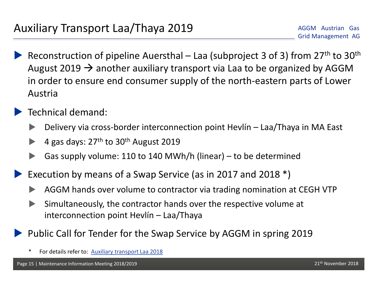Reconstruction of pipeline Auersthal – Laa (subproject 3 of 3) from  $27<sup>th</sup>$  to  $30<sup>th</sup>$ August 2019  $\rightarrow$  another auxiliary transport via Laa to be organized by AGGM in order to ensure end consumer supply of the north-eastern parts of Lower Austria

## Technical demand:

- Delivery via cross-border interconnection point Hevlín Laa/Thaya in MA East
- 4 gas days:  $27<sup>th</sup>$  to  $30<sup>th</sup>$  August 2019
- Gas supply volume: 110 to 140 MWh/h (linear) to be determined
- Execution by means of a Swap Service (as in 2017 and 2018 \*)
	- AGGM hands over volume to contractor via trading nomination at CEGH VTP
	- Simultaneously, the contractor hands over the respective volume at interconnection point Hevlín – Laa/Thaya

Public Call for Tender for the Swap Service by AGGM in spring 2019

For details refer to: [Auxiliary](https://www.aggm.at/files/get/de4ca5bb653e921cc1fc121821435224/Auxiliary_transport_Laa_2018.pdf) [transport](https://www.aggm.at/files/get/de4ca5bb653e921cc1fc121821435224/Auxiliary_transport_Laa_2018.pdf) [Laa](https://www.aggm.at/files/get/de4ca5bb653e921cc1fc121821435224/Auxiliary_transport_Laa_2018.pdf) [2018](https://www.aggm.at/files/get/de4ca5bb653e921cc1fc121821435224/Auxiliary_transport_Laa_2018.pdf)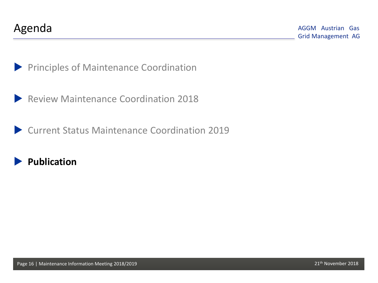

**Principles of Maintenance Coordination** 

Review Maintenance Coordination 2018

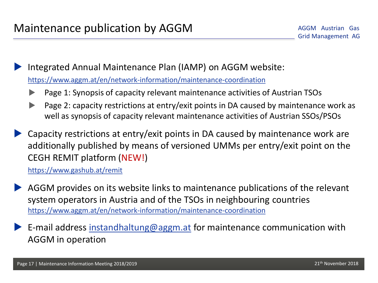Integrated Annual Maintenance Plan (IAMP) on AGGM website: <https://www.aggm.at/en/network-information/maintenance-coordination>

- Page 1: Synopsis of capacity relevant maintenance activities of Austrian TSOs
- Page 2: capacity restrictions at entry/exit points in DA caused by maintenance work as well as synopsis of capacity relevant maintenance activities of Austrian SSOs/PSOs
- Capacity restrictions at entry/exit points in DA caused by maintenance work are additionally published by means of versioned UMMs per entry/exit point on the CEGH REMIT platform (NEW!)

<https://www.gashub.at/remit>

- AGGM provides on its website links to maintenance publications of the relevant system operators in Austria and of the TSOs in neighbouring countries <https://www.aggm.at/en/network-information/maintenance-coordination>
- E-mail address [instandhaltung@aggm.at](mailto:instandhaltung@aggm.at) for maintenance communication with AGGM in operation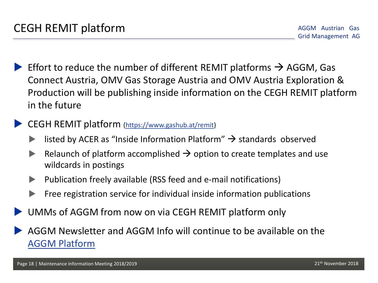- Effort to reduce the number of different REMIT platforms  $\rightarrow$  AGGM, Gas Connect Austria, OMV Gas Storage Austria and OMV Austria Exploration & Production will be publishing inside information on the CEGH REMIT platform in the future
	- CEGH REMIT platform [\(https://www.gashub.at/remit](https://www.gashub.at/remit))
		- listed by ACER as "Inside Information Platform"  $\rightarrow$  standards observed
		- Relaunch of platform accomplished  $\rightarrow$  option to create templates and use wildcards in postings
		- $\blacktriangleright$  Publication freely available (RSS feed and e-mail notifications)
		- Free registration service for individual inside information publications
- UMMs of AGGM from now on via CEGH REMIT platform only
- AGGM Newslet[te](https://platform.aggm.at/mgm/news/newsletter/list.do)r and AGGM Info will continue to be available on the [AGGM Platform](https://platform.aggm.at/mgm/news/newsletter/list.do?lang=en)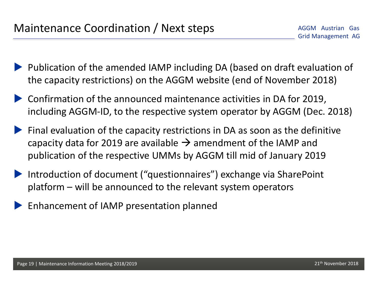- **Publication of the amended IAMP including DA (based on draft evaluation of** the capacity restrictions) on the AGGM website (end of November 2018)
- Confirmation of the announced maintenance activities in DA for 2019, including AGGM-ID, to the respective system operator by AGGM (Dec. 2018)
- $\blacktriangleright$  Final evaluation of the capacity restrictions in DA as soon as the definitive capacity data for 2019 are available  $\rightarrow$  amendment of the IAMP and publication of the respective UMMs by AGGM till mid of January 2019
- Introduction of document ("questionnaires") exchange via SharePoint platform – will be announced to the relevant system operators
- Enhancement of IAMP presentation planned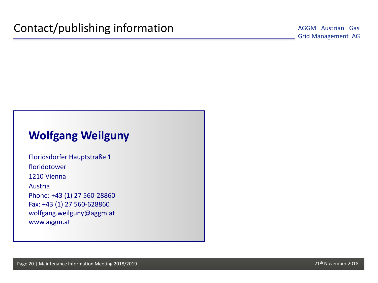## **Wolfgang Weilguny**

Floridsdorfer Hauptstraße 1 floridotower 1210 Vienna Austria Phone: +43 (1) 27 560-28860 Fax: +43 (1) 27 560-628860 wolfgang.weilguny@aggm.at www.aggm.at